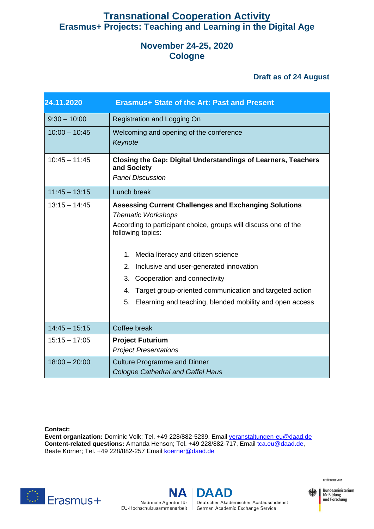## **Transnational Cooperation Activity Erasmus+ Projects: Teaching and Learning in the Digital Age**

## **November 24-25, 2020 Cologne**

## **Draft as of 24 August**

| 24.11.2020      | <b>Erasmus+ State of the Art: Past and Present</b>                                                                                                                                                                                                                                                                                                                                                                                          |
|-----------------|---------------------------------------------------------------------------------------------------------------------------------------------------------------------------------------------------------------------------------------------------------------------------------------------------------------------------------------------------------------------------------------------------------------------------------------------|
| $9:30 - 10:00$  | Registration and Logging On                                                                                                                                                                                                                                                                                                                                                                                                                 |
| $10:00 - 10:45$ | Welcoming and opening of the conference<br>Keynote                                                                                                                                                                                                                                                                                                                                                                                          |
| $10:45 - 11:45$ | <b>Closing the Gap: Digital Understandings of Learners, Teachers</b><br>and Society<br><b>Panel Discussion</b>                                                                                                                                                                                                                                                                                                                              |
| $11:45 - 13:15$ | Lunch break                                                                                                                                                                                                                                                                                                                                                                                                                                 |
| $13:15 - 14:45$ | <b>Assessing Current Challenges and Exchanging Solutions</b><br><b>Thematic Workshops</b><br>According to participant choice, groups will discuss one of the<br>following topics:<br>1. Media literacy and citizen science<br>2. Inclusive and user-generated innovation<br>3. Cooperation and connectivity<br>Target group-oriented communication and targeted action<br>4.<br>5. Elearning and teaching, blended mobility and open access |
| $14:45 - 15:15$ | Coffee break                                                                                                                                                                                                                                                                                                                                                                                                                                |
| $15:15 - 17:05$ | <b>Project Futurium</b><br><b>Project Presentations</b>                                                                                                                                                                                                                                                                                                                                                                                     |
| $18:00 - 20:00$ | <b>Culture Programme and Dinner</b><br><b>Cologne Cathedral and Gaffel Haus</b>                                                                                                                                                                                                                                                                                                                                                             |

**Contact:**

**Event organization:** Dominic Volk; Tel. +49 228/882-5239, Email veranstaltungen-eu@daad.de **Content-related questions:** Amanda Henson; Tel. +49 228/882-717, Email [tca.eu@daad.de,](mailto:tca.eu@daad.de) Beate Körner; Tel. +49 228/882-257 Email koerner@daad.de



NΑ Nationale Agentur für

**DAAD** Deutscher Akademischer Austauschdienst EU-Hochschulzusammenarbeit | German Academic Exchange Service



Bundesministerium für Bildung<br>und Forschung

GEFÖRDERT VOM